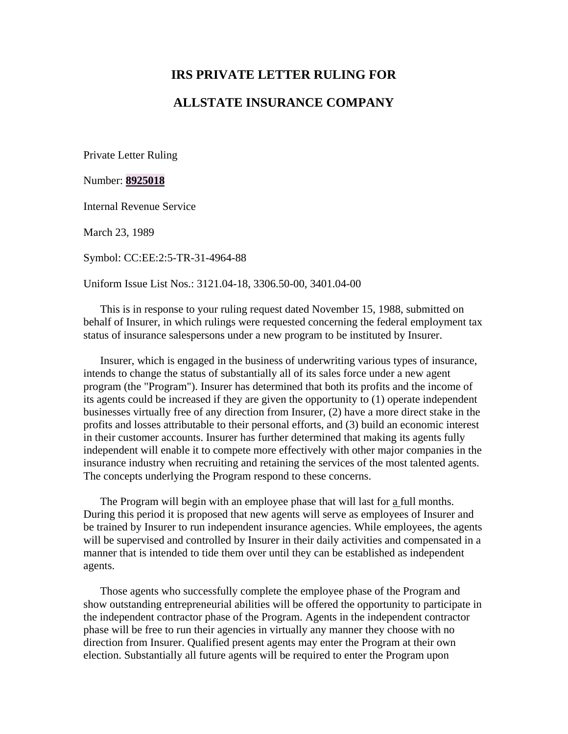## **IRS PRIVATE LETTER RULING FOR**

# **ALLSTATE INSURANCE COMPANY**

Private Letter Ruling

#### Number: **[8925018](http://www.legalbitstream.com/scripts/isyswebext.dll?op=get&uri=/isysquery/irl79b1/1/doc#hit1#hit1)**

Internal Revenue Service

March 23, 1989

Symbol: CC:EE:2:5-TR-31-4964-88

Uniform Issue List Nos.: 3121.04-18, 3306.50-00, 3401.04-00

This is in response to your ruling request dated November 15, 1988, submitted on behalf of Insurer, in which rulings were requested concerning the federal employment tax status of insurance salespersons under a new program to be instituted by Insurer.

Insurer, which is engaged in the business of underwriting various types of insurance, intends to change the status of substantially all of its sales force under a new agent program (the "Program"). Insurer has determined that both its profits and the income of its agents could be increased if they are given the opportunity to (1) operate independent businesses virtually free of any direction from Insurer, (2) have a more direct stake in the profits and losses attributable to their personal efforts, and (3) build an economic interest in their customer accounts. Insurer has further determined that making its agents fully independent will enable it to compete more effectively with other major companies in the insurance industry when recruiting and retaining the services of the most talented agents. The concepts underlying the Program respond to these concerns.

The Program will begin with an employee phase that will last for a full months. During this period it is proposed that new agents will serve as employees of Insurer and be trained by Insurer to run independent insurance agencies. While employees, the agents will be supervised and controlled by Insurer in their daily activities and compensated in a manner that is intended to tide them over until they can be established as independent agents.

Those agents who successfully complete the employee phase of the Program and show outstanding entrepreneurial abilities will be offered the opportunity to participate in the independent contractor phase of the Program. Agents in the independent contractor phase will be free to run their agencies in virtually any manner they choose with no direction from Insurer. Qualified present agents may enter the Program at their own election. Substantially all future agents will be required to enter the Program upon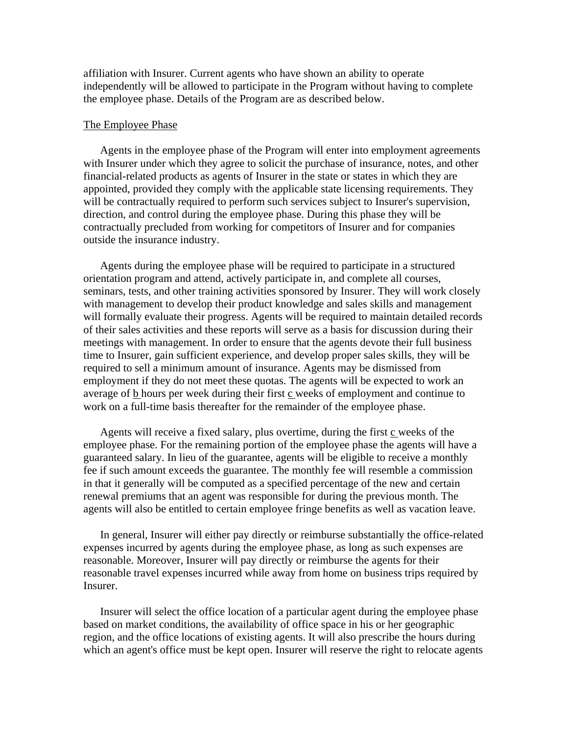affiliation with Insurer. Current agents who have shown an ability to operate independently will be allowed to participate in the Program without having to complete the employee phase. Details of the Program are as described below.

#### The Employee Phase

Agents in the employee phase of the Program will enter into employment agreements with Insurer under which they agree to solicit the purchase of insurance, notes, and other financial-related products as agents of Insurer in the state or states in which they are appointed, provided they comply with the applicable state licensing requirements. They will be contractually required to perform such services subject to Insurer's supervision, direction, and control during the employee phase. During this phase they will be contractually precluded from working for competitors of Insurer and for companies outside the insurance industry.

Agents during the employee phase will be required to participate in a structured orientation program and attend, actively participate in, and complete all courses, seminars, tests, and other training activities sponsored by Insurer. They will work closely with management to develop their product knowledge and sales skills and management will formally evaluate their progress. Agents will be required to maintain detailed records of their sales activities and these reports will serve as a basis for discussion during their meetings with management. In order to ensure that the agents devote their full business time to Insurer, gain sufficient experience, and develop proper sales skills, they will be required to sell a minimum amount of insurance. Agents may be dismissed from employment if they do not meet these quotas. The agents will be expected to work an average of b hours per week during their first c weeks of employment and continue to work on a full-time basis thereafter for the remainder of the employee phase.

Agents will receive a fixed salary, plus overtime, during the first c weeks of the employee phase. For the remaining portion of the employee phase the agents will have a guaranteed salary. In lieu of the guarantee, agents will be eligible to receive a monthly fee if such amount exceeds the guarantee. The monthly fee will resemble a commission in that it generally will be computed as a specified percentage of the new and certain renewal premiums that an agent was responsible for during the previous month. The agents will also be entitled to certain employee fringe benefits as well as vacation leave.

In general, Insurer will either pay directly or reimburse substantially the office-related expenses incurred by agents during the employee phase, as long as such expenses are reasonable. Moreover, Insurer will pay directly or reimburse the agents for their reasonable travel expenses incurred while away from home on business trips required by Insurer.

Insurer will select the office location of a particular agent during the employee phase based on market conditions, the availability of office space in his or her geographic region, and the office locations of existing agents. It will also prescribe the hours during which an agent's office must be kept open. Insurer will reserve the right to relocate agents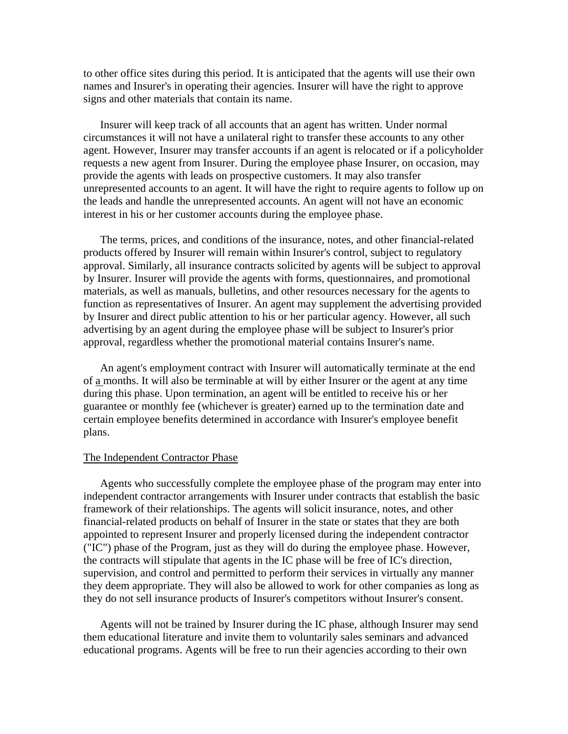to other office sites during this period. It is anticipated that the agents will use their own names and Insurer's in operating their agencies. Insurer will have the right to approve signs and other materials that contain its name.

Insurer will keep track of all accounts that an agent has written. Under normal circumstances it will not have a unilateral right to transfer these accounts to any other agent. However, Insurer may transfer accounts if an agent is relocated or if a policyholder requests a new agent from Insurer. During the employee phase Insurer, on occasion, may provide the agents with leads on prospective customers. It may also transfer unrepresented accounts to an agent. It will have the right to require agents to follow up on the leads and handle the unrepresented accounts. An agent will not have an economic interest in his or her customer accounts during the employee phase.

The terms, prices, and conditions of the insurance, notes, and other financial-related products offered by Insurer will remain within Insurer's control, subject to regulatory approval. Similarly, all insurance contracts solicited by agents will be subject to approval by Insurer. Insurer will provide the agents with forms, questionnaires, and promotional materials, as well as manuals, bulletins, and other resources necessary for the agents to function as representatives of Insurer. An agent may supplement the advertising provided by Insurer and direct public attention to his or her particular agency. However, all such advertising by an agent during the employee phase will be subject to Insurer's prior approval, regardless whether the promotional material contains Insurer's name.

An agent's employment contract with Insurer will automatically terminate at the end of a months. It will also be terminable at will by either Insurer or the agent at any time during this phase. Upon termination, an agent will be entitled to receive his or her guarantee or monthly fee (whichever is greater) earned up to the termination date and certain employee benefits determined in accordance with Insurer's employee benefit plans.

#### The Independent Contractor Phase

Agents who successfully complete the employee phase of the program may enter into independent contractor arrangements with Insurer under contracts that establish the basic framework of their relationships. The agents will solicit insurance, notes, and other financial-related products on behalf of Insurer in the state or states that they are both appointed to represent Insurer and properly licensed during the independent contractor ("IC") phase of the Program, just as they will do during the employee phase. However, the contracts will stipulate that agents in the IC phase will be free of IC's direction, supervision, and control and permitted to perform their services in virtually any manner they deem appropriate. They will also be allowed to work for other companies as long as they do not sell insurance products of Insurer's competitors without Insurer's consent.

Agents will not be trained by Insurer during the IC phase, although Insurer may send them educational literature and invite them to voluntarily sales seminars and advanced educational programs. Agents will be free to run their agencies according to their own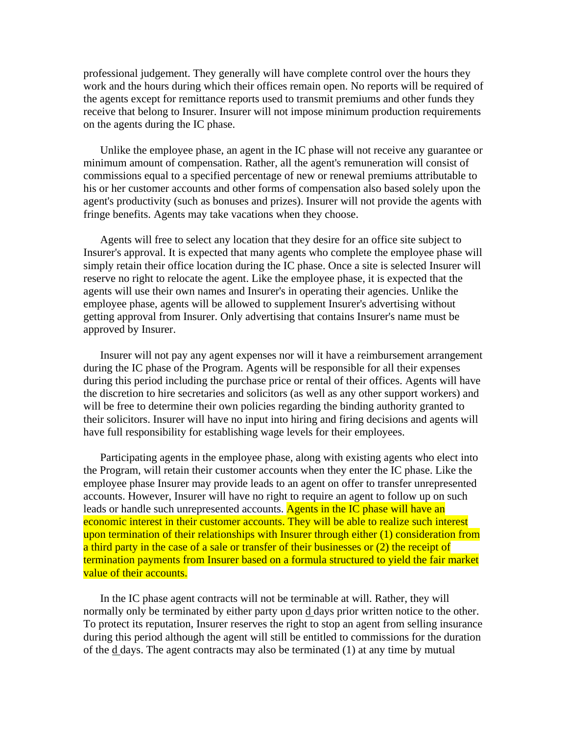professional judgement. They generally will have complete control over the hours they work and the hours during which their offices remain open. No reports will be required of the agents except for remittance reports used to transmit premiums and other funds they receive that belong to Insurer. Insurer will not impose minimum production requirements on the agents during the IC phase.

Unlike the employee phase, an agent in the IC phase will not receive any guarantee or minimum amount of compensation. Rather, all the agent's remuneration will consist of commissions equal to a specified percentage of new or renewal premiums attributable to his or her customer accounts and other forms of compensation also based solely upon the agent's productivity (such as bonuses and prizes). Insurer will not provide the agents with fringe benefits. Agents may take vacations when they choose.

Agents will free to select any location that they desire for an office site subject to Insurer's approval. It is expected that many agents who complete the employee phase will simply retain their office location during the IC phase. Once a site is selected Insurer will reserve no right to relocate the agent. Like the employee phase, it is expected that the agents will use their own names and Insurer's in operating their agencies. Unlike the employee phase, agents will be allowed to supplement Insurer's advertising without getting approval from Insurer. Only advertising that contains Insurer's name must be approved by Insurer.

Insurer will not pay any agent expenses nor will it have a reimbursement arrangement during the IC phase of the Program. Agents will be responsible for all their expenses during this period including the purchase price or rental of their offices. Agents will have the discretion to hire secretaries and solicitors (as well as any other support workers) and will be free to determine their own policies regarding the binding authority granted to their solicitors. Insurer will have no input into hiring and firing decisions and agents will have full responsibility for establishing wage levels for their employees.

Participating agents in the employee phase, along with existing agents who elect into the Program, will retain their customer accounts when they enter the IC phase. Like the employee phase Insurer may provide leads to an agent on offer to transfer unrepresented accounts. However, Insurer will have no right to require an agent to follow up on such leads or handle such unrepresented accounts. Agents in the IC phase will have an economic interest in their customer accounts. They will be able to realize such interest upon termination of their relationships with Insurer through either (1) consideration from a third party in the case of a sale or transfer of their businesses or (2) the receipt of termination payments from Insurer based on a formula structured to yield the fair market value of their accounts.

In the IC phase agent contracts will not be terminable at will. Rather, they will normally only be terminated by either party upon  $\underline{d}$  days prior written notice to the other. To protect its reputation, Insurer reserves the right to stop an agent from selling insurance during this period although the agent will still be entitled to commissions for the duration of the  $d$  days. The agent contracts may also be terminated (1) at any time by mutual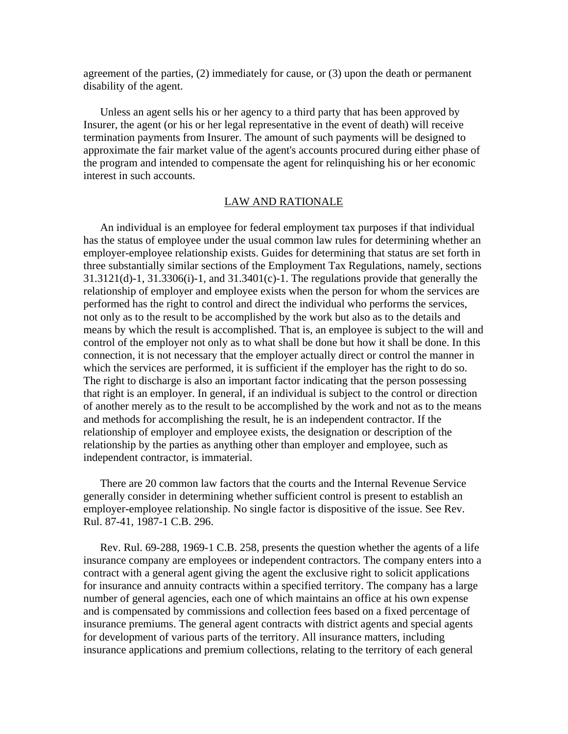agreement of the parties, (2) immediately for cause, or (3) upon the death or permanent disability of the agent.

Unless an agent sells his or her agency to a third party that has been approved by Insurer, the agent (or his or her legal representative in the event of death) will receive termination payments from Insurer. The amount of such payments will be designed to approximate the fair market value of the agent's accounts procured during either phase of the program and intended to compensate the agent for relinquishing his or her economic interest in such accounts.

### LAW AND RATIONALE

An individual is an employee for federal employment tax purposes if that individual has the status of employee under the usual common law rules for determining whether an employer-employee relationship exists. Guides for determining that status are set forth in three substantially similar sections of the Employment Tax Regulations, namely, sections 31.3121(d)-1, 31.3306(i)-1, and 31.3401(c)-1. The regulations provide that generally the relationship of employer and employee exists when the person for whom the services are performed has the right to control and direct the individual who performs the services, not only as to the result to be accomplished by the work but also as to the details and means by which the result is accomplished. That is, an employee is subject to the will and control of the employer not only as to what shall be done but how it shall be done. In this connection, it is not necessary that the employer actually direct or control the manner in which the services are performed, it is sufficient if the employer has the right to do so. The right to discharge is also an important factor indicating that the person possessing that right is an employer. In general, if an individual is subject to the control or direction of another merely as to the result to be accomplished by the work and not as to the means and methods for accomplishing the result, he is an independent contractor. If the relationship of employer and employee exists, the designation or description of the relationship by the parties as anything other than employer and employee, such as independent contractor, is immaterial.

There are 20 common law factors that the courts and the Internal Revenue Service generally consider in determining whether sufficient control is present to establish an employer-employee relationship. No single factor is dispositive of the issue. See Rev. Rul. 87-41, 1987-1 C.B. 296.

Rev. Rul. 69-288, 1969-1 C.B. 258, presents the question whether the agents of a life insurance company are employees or independent contractors. The company enters into a contract with a general agent giving the agent the exclusive right to solicit applications for insurance and annuity contracts within a specified territory. The company has a large number of general agencies, each one of which maintains an office at his own expense and is compensated by commissions and collection fees based on a fixed percentage of insurance premiums. The general agent contracts with district agents and special agents for development of various parts of the territory. All insurance matters, including insurance applications and premium collections, relating to the territory of each general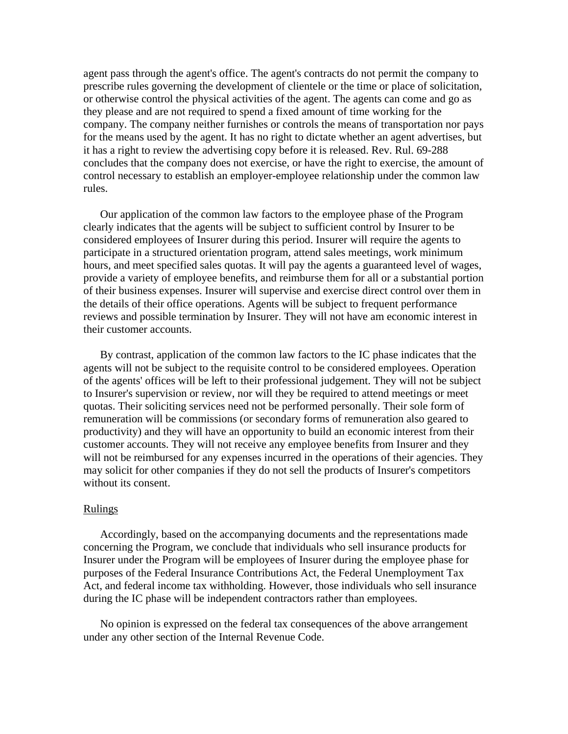agent pass through the agent's office. The agent's contracts do not permit the company to prescribe rules governing the development of clientele or the time or place of solicitation, or otherwise control the physical activities of the agent. The agents can come and go as they please and are not required to spend a fixed amount of time working for the company. The company neither furnishes or controls the means of transportation nor pays for the means used by the agent. It has no right to dictate whether an agent advertises, but it has a right to review the advertising copy before it is released. Rev. Rul. 69-288 concludes that the company does not exercise, or have the right to exercise, the amount of control necessary to establish an employer-employee relationship under the common law rules.

Our application of the common law factors to the employee phase of the Program clearly indicates that the agents will be subject to sufficient control by Insurer to be considered employees of Insurer during this period. Insurer will require the agents to participate in a structured orientation program, attend sales meetings, work minimum hours, and meet specified sales quotas. It will pay the agents a guaranteed level of wages, provide a variety of employee benefits, and reimburse them for all or a substantial portion of their business expenses. Insurer will supervise and exercise direct control over them in the details of their office operations. Agents will be subject to frequent performance reviews and possible termination by Insurer. They will not have am economic interest in their customer accounts.

By contrast, application of the common law factors to the IC phase indicates that the agents will not be subject to the requisite control to be considered employees. Operation of the agents' offices will be left to their professional judgement. They will not be subject to Insurer's supervision or review, nor will they be required to attend meetings or meet quotas. Their soliciting services need not be performed personally. Their sole form of remuneration will be commissions (or secondary forms of remuneration also geared to productivity) and they will have an opportunity to build an economic interest from their customer accounts. They will not receive any employee benefits from Insurer and they will not be reimbursed for any expenses incurred in the operations of their agencies. They may solicit for other companies if they do not sell the products of Insurer's competitors without its consent.

#### Rulings

Accordingly, based on the accompanying documents and the representations made concerning the Program, we conclude that individuals who sell insurance products for Insurer under the Program will be employees of Insurer during the employee phase for purposes of the Federal Insurance Contributions Act, the Federal Unemployment Tax Act, and federal income tax withholding. However, those individuals who sell insurance during the IC phase will be independent contractors rather than employees.

No opinion is expressed on the federal tax consequences of the above arrangement under any other section of the Internal Revenue Code.